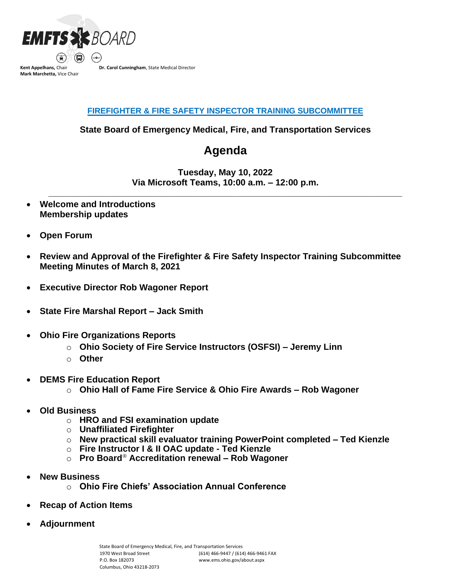

## **FIREFIGHTER & FIRE SAFETY INSPECTOR TRAINING SUBCOMMITTEE**

**State Board of Emergency Medical, Fire, and Transportation Services**

## **Agenda**

**Tuesday, May 10, 2022 Via Microsoft Teams, 10:00 a.m. – 12:00 p.m.**

**\_\_\_\_\_\_\_\_\_\_\_\_\_\_\_\_\_\_\_\_\_\_\_\_\_\_\_\_\_\_\_\_\_\_\_\_\_\_\_\_\_\_\_\_\_\_\_\_\_\_\_\_\_\_\_\_\_\_\_\_\_\_\_\_\_\_\_\_\_\_\_\_**

- **Welcome and Introductions Membership updates**
- **Open Forum**
- **Review and Approval of the Firefighter & Fire Safety Inspector Training Subcommittee Meeting Minutes of March 8, 2021**
- **Executive Director Rob Wagoner Report**
- **State Fire Marshal Report – Jack Smith**
- **Ohio Fire Organizations Reports**
	- o **Ohio Society of Fire Service Instructors (OSFSI) – Jeremy Linn**
	- o **Other**
- **DEMS Fire Education Report** 
	- o **Ohio Hall of Fame Fire Service & Ohio Fire Awards – Rob Wagoner**
- **Old Business**
	- o **HRO and FSI examination update**
	- o **Unaffiliated Firefighter**
	- o **New practical skill evaluator training PowerPoint completed – Ted Kienzle**
	- o **Fire Instructor I & II OAC update - Ted Kienzle**
	- o **Pro Board***®* **Accreditation renewal – Rob Wagoner**
- **New Business**
	- o **Ohio Fire Chiefs' Association Annual Conference**
- **Recap of Action Items**
- **Adjournment**

State Board of Emergency Medical, Fire, and Transportation Services 1970 West Broad Street P.O. Box 182073 Columbus, Ohio 43218-2073 (614) 466-9447 / (614) 466-9461 FAX www.ems.ohio.gov/about.aspx